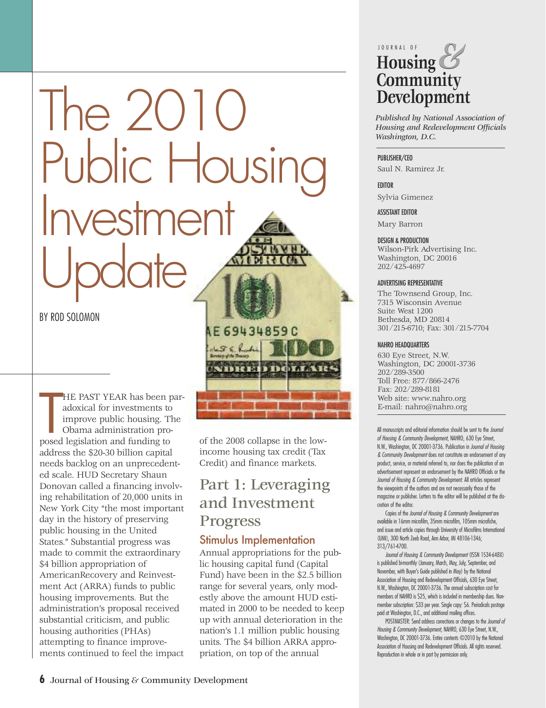# $The 2()$ Public Housir<br>Investment Update

#### BY ROD SOLOMON

HE PAST YEAR has been padoxical for investments to improve public housing. To bama administration proposed legislation and funding to HE PAST YEAR has been paradoxical for investments to improve public housing. The Obama administration proaddress the \$20-30 billion capital needs backlog on an unprecedented scale. HUD Secretary Shaun Donovan called a financing involving rehabilitation of 20,000 units in New York City "the most important day in the history of preserving public housing in the United States." Substantial progress was made to commit the extraordinary \$4 billion appropriation of AmericanRecovery and Reinvestment Act (ARRA) funds to public housing improvements. But the administration's proposal received substantial criticism, and public housing authorities (PHAs) attempting to finance improvements continued to feel the impact

of the 2008 collapse in the lowincome housing tax credit (Tax Credit) and finance markets.

**AE69434859C** 

 $\sqrt{36}$ 

**THEFT** 

## Part 1: Leveraging and Investment Progress

#### Stimulus Implementation

Annual appropriations for the public housing capital fund (Capital Fund) have been in the \$2.5 billion range for several years, only modestly above the amount HUD estimated in 2000 to be needed to keep up with annual deterioration in the nation's 1.1 million public housing units. The \$4 billion ARRA appropriation, on top of the annual

#### J O U R N A L O F **Housing Community Development** *&*

*Published by National Association of Housing and Redevelopment Officials Washington, D.C.*

#### PUBLISHER/CEO

Saul N. Ramirez Jr.

#### **EDITOR**

Sylvia Gimenez

#### ASSISTANT EDITOR

Mary Barron

#### DESIGN & PRODUCTION

Wilson-Pirk Advertising Inc. Washington, DC 20016 202/425-4697

#### ADVERTISING REPRESENTATIVE

The Townsend Group, Inc. 7315 Wisconsin Avenue Suite West 1200 Bethesda, MD 20814 301/215-6710; Fax: 301/215-7704

#### NAHRO HEADQUARTERS

630 Eye Street, N.W. Washington, DC 20001-3736 202/289-3500 Toll Free: 877/866-2476 Fax: 202/289-8181 Web site: www.nahro.org E-mail: nahro@nahro.org

All manuscripts and editorial information should be sent to the *Journal of Housing & Community Development*, NAHRO, 630 Eye Street, N.W., Washington, DC 20001-3736. Publication in *Journal of Housing & Community Development* does not constitute an endorsement of any product, service, or material referred to, nor does the publication of an advertisement represent an endorsement by the NAHRO Officials or the *Journal of Housing & Community Development*. All articles represent the viewpoints of the authors and are not necessarily those of the magazine or publisher. Letters to the editor will be published at the discretion of the editor.

Copies of the *Journal of Housing & Community Development* are available in 16mm microfilm, 35mm microfilm, 105mm microfiche, and issue and article copies through University of Microfilms International (UMI), 300 North Zeeb Road, Ann Arbor, MI 48106-1346; 313/761-4700.

*Journal of Housing & Community Development* (ISSN 1534-648X) is published bi-monthly (January, March, May, July, September, and November, with Buyer's Guide published in May) by the National Association of Housing and Redevelopment Officials, 630 Eye Street, N.W., Washington, DC 20001-3736. The annual subscription cost for members of NAHRO is \$25, which is included in membership dues. Nonmember subscription: \$33 per year. Single copy: \$6. Periodicals postage paid at Washington, D.C., and additional mailing offices.

POSTMASTER: Send address corrections or changes to the *Journal of Housing & Community Development*, NAHRO, 630 Eye Street, N.W., Washington, DC 20001-3736. Entire contents ©2010 by the National Association of Housing and Redevelopment Officials. All rights reserved. Reproduction in whole or in part by permission only.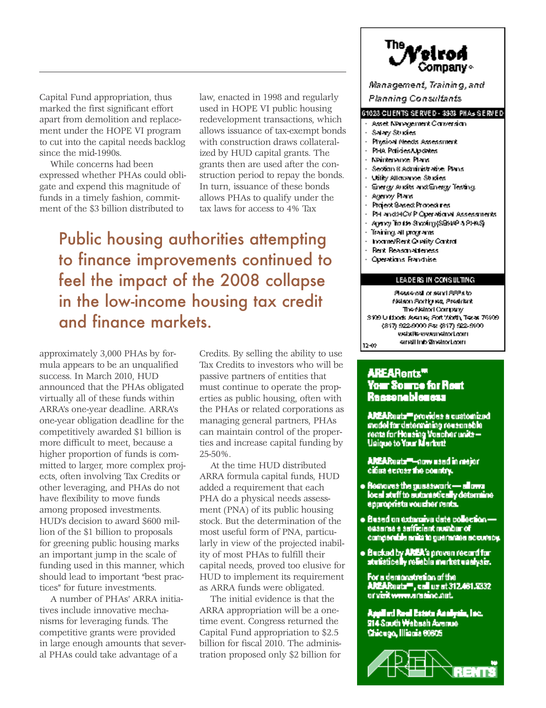Capital Fund appropriation, thus marked the first significant effort apart from demolition and replacement under the HOPE VI program to cut into the capital needs backlog since the mid-1990s.

While concerns had been expressed whether PHAs could obligate and expend this magnitude of funds in a timely fashion, commitment of the \$3 billion distributed to

law, enacted in 1998 and regularly used in HOPE VI public housing redevelopment transactions, which allows issuance of tax-exempt bonds with construction draws collateralized by HUD capital grants. The grants then are used after the construction period to repay the bonds. In turn, issuance of these bonds allows PHAs to qualify under the tax laws for access to 4% Tax

Public housing authorities attempting to finance improvements continued to feel the impact of the 2008 collapse in the low-income housing tax credit and finance markets.

approximately 3,000 PHAs by formula appears to be an unqualified success. In March 2010, HUD announced that the PHAs obligated virtually all of these funds within ARRA's one-year deadline. ARRA's one-year obligation deadline for the competitively awarded \$1 billion is more difficult to meet, because a higher proportion of funds is committed to larger, more complex projects, often involving Tax Credits or other leveraging, and PHAs do not have flexibility to move funds among proposed investments. HUD's decision to award \$600 million of the \$1 billion to proposals for greening public housing marks an important jump in the scale of funding used in this manner, which should lead to important "best practices" for future investments.

A number of PHAs' ARRA initiatives include innovative mechanisms for leveraging funds. The competitive grants were provided in large enough amounts that several PHAs could take advantage of a

Credits. By selling the ability to use Tax Credits to investors who will be passive partners of entities that must continue to operate the properties as public housing, often with the PHAs or related corporations as managing general partners, PHAs can maintain control of the properties and increase capital funding by 25-50%.

At the time HUD distributed ARRA formula capital funds, HUD added a requirement that each PHA do a physical needs assessment (PNA) of its public housing stock. But the determination of the most useful form of PNA, particularly in view of the projected inability of most PHAs to fulfill their capital needs, proved too elusive for HUD to implement its requirement as ARRA funds were obligated.

The initial evidence is that the ARRA appropriation will be a onetime event. Congress returned the Capital Fund appropriation to \$2.5 billion for fiscal 2010. The administration proposed only \$2 billion for



Management, Training, and Planning Consultants

#### 01023 CLIENTS SERVED - 3933 PHAS SERVED

- Asset NPmgement Carversian
- Salary Studies
- Physical Needs Assessment
- PHA Palicies/Updates
- Neintenance Plans
- Seotion 8 Administrative Plans
- **Utility Attornance Studies**
- Energy Audits and Energy Testing.
- Agency Plans
- Project Seated Procedures .
- PH and HOV P Operational Assessments
- Apaxy Trade Shorthy (SSNP & PHAS)
- Training all programs.
- troame/Rent Quality Cantral
- Rent Reasonableness
- Operations Franchise

#### LEADERS IN CONSULTING

Sessenal or sent SSSs to Nelson Sortiy es, President. The Netrod Company S109 U Block Assaus; Soft Worth, Teasy 76109 (817) 522-5000 Fst (817) 522-5100 website www.netrod.com small into Smallochorn  $12 - 07$ 

#### **AREARents<sup>m</sup>** Your Source for Rout Rassenablances

**ANEARests<sup>m</sup>provides a customized<br>model for determining reasonable<br>rents for Housing Voucher units—**<br>Unique to Your Market!

**AREAReata™-now used in mejor** cifies ecross the country.

- Removes the guesswork allows<br>local staff to automatically determine epproprieta voucher rents.
- e Besed on externive date collection —<br>essares a safficient number of<br>comperable anits to guerantee accuracy.
- · Bucked by AREA's proven record for<br>studenticelly relieble murbet uselysis.

For a demonstration of the **AREARests<sup>10</sup>, call us at 312.461.9332** or visit www.arasinc.net.

Applied Real Estate Analysis, Inc.<br>914 South Wabash Avenue Chicago, Illiania 60605

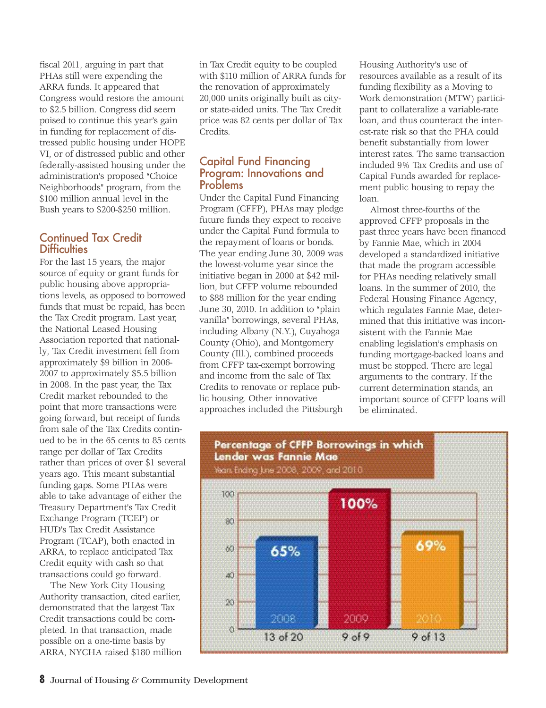fiscal 2011, arguing in part that PHAs still were expending the ARRA funds. It appeared that Congress would restore the amount to \$2.5 billion. Congress did seem poised to continue this year's gain in funding for replacement of distressed public housing under HOPE VI, or of distressed public and other federally-assisted housing under the administration's proposed "Choice Neighborhoods" program, from the \$100 million annual level in the Bush years to \$200-\$250 million.

#### Continued Tax Credit **Difficulties**

For the last 15 years, the major source of equity or grant funds for public housing above appropriations levels, as opposed to borrowed funds that must be repaid, has been the Tax Credit program. Last year, the National Leased Housing Association reported that nationally, Tax Credit investment fell from approximately \$9 billion in 2006- 2007 to approximately \$5.5 billion in 2008. In the past year, the Tax Credit market rebounded to the point that more transactions were going forward, but receipt of funds from sale of the Tax Credits continued to be in the 65 cents to 85 cents range per dollar of Tax Credits rather than prices of over \$1 several years ago. This meant substantial funding gaps. Some PHAs were able to take advantage of either the Treasury Department's Tax Credit Exchange Program (TCEP) or HUD's Tax Credit Assistance Program (TCAP), both enacted in ARRA, to replace anticipated Tax Credit equity with cash so that transactions could go forward.

The New York City Housing Authority transaction, cited earlier, demonstrated that the largest Tax Credit transactions could be completed. In that transaction, made possible on a one-time basis by ARRA, NYCHA raised \$180 million in Tax Credit equity to be coupled with \$110 million of ARRA funds for the renovation of approximately 20,000 units originally built as cityor state-aided units. The Tax Credit price was 82 cents per dollar of Tax Credits.

#### Capital Fund Financing Program: Innovations and Problems

Under the Capital Fund Financing Program (CFFP), PHAs may pledge future funds they expect to receive under the Capital Fund formula to the repayment of loans or bonds. The year ending June 30, 2009 was the lowest-volume year since the initiative began in 2000 at \$42 million, but CFFP volume rebounded to \$88 million for the year ending June 30, 2010. In addition to "plain vanilla" borrowings, several PHAs, including Albany (N.Y.), Cuyahoga County (Ohio), and Montgomery County (Ill.), combined proceeds from CFFP tax-exempt borrowing and income from the sale of Tax Credits to renovate or replace public housing. Other innovative approaches included the Pittsburgh Housing Authority's use of resources available as a result of its funding flexibility as a Moving to Work demonstration (MTW) participant to collateralize a variable-rate loan, and thus counteract the interest-rate risk so that the PHA could benefit substantially from lower interest rates. The same transaction included 9% Tax Credits and use of Capital Funds awarded for replacement public housing to repay the loan.

Almost three-fourths of the approved CFFP proposals in the past three years have been financed by Fannie Mae, which in 2004 developed a standardized initiative that made the program accessible for PHAs needing relatively small loans. In the summer of 2010, the Federal Housing Finance Agency, which regulates Fannie Mae, determined that this initiative was inconsistent with the Fannie Mae enabling legislation's emphasis on funding mortgage-backed loans and must be stopped. There are legal arguments to the contrary. If the current determination stands, an important source of CFFP loans will be eliminated.

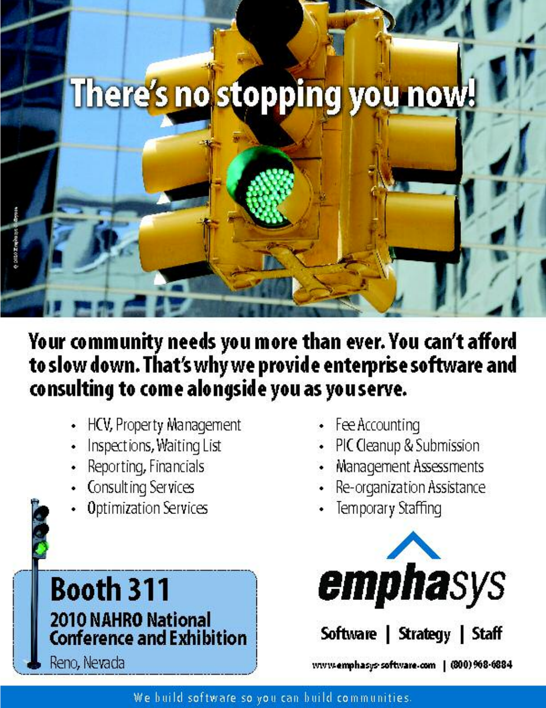# There's no stopping you now!

# Your community needs you more than ever. You can't afford to slow down. That's why we provide enterprise software and consulting to come alongside you as you serve.

- HCV, Property Management
- Inspections, Waiting List
- Reporting, Financials
- Consulting Services
- **Optimization Services**
- **Booth 311** 2010 NAHRO National **Conference and Exhibition** Reno, Nevada
- Fee Accounting
- PIC Cleanup & Submission
- Management Assessments
- Re-organization Assistance
- Temporary Staffing



Software | Strategy | Staff www.emphasys-software.com | (800) 968-6884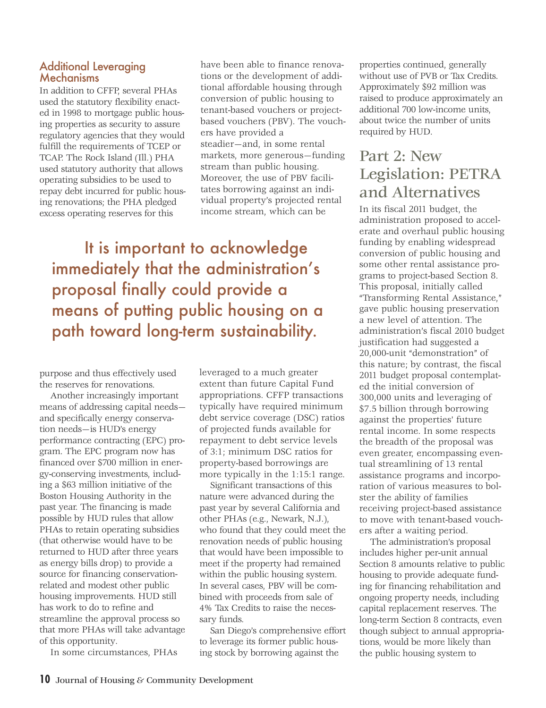#### Additional Leveraging **Mechanisms**

In addition to CFFP, several PHAs used the statutory flexibility enacted in 1998 to mortgage public housing properties as security to assure regulatory agencies that they would fulfill the requirements of TCEP or TCAP. The Rock Island (Ill.) PHA used statutory authority that allows operating subsidies to be used to repay debt incurred for public housing renovations; the PHA pledged excess operating reserves for this

have been able to finance renovations or the development of additional affordable housing through conversion of public housing to tenant-based vouchers or projectbased vouchers (PBV). The vouchers have provided a steadier—and, in some rental markets, more generous—funding stream than public housing. Moreover, the use of PBV facilitates borrowing against an individual property's projected rental income stream, which can be

It is important to acknowledge immediately that the administration's proposal finally could provide a means of putting public housing on a path toward long-term sustainability.

purpose and thus effectively used the reserves for renovations.

Another increasingly important means of addressing capital needs and specifically energy conservation needs—is HUD's energy performance contracting (EPC) program. The EPC program now has financed over \$700 million in energy-conserving investments, including a \$63 million initiative of the Boston Housing Authority in the past year. The financing is made possible by HUD rules that allow PHAs to retain operating subsidies (that otherwise would have to be returned to HUD after three years as energy bills drop) to provide a source for financing conservationrelated and modest other public housing improvements. HUD still has work to do to refine and streamline the approval process so that more PHAs will take advantage of this opportunity.

In some circumstances, PHAs

leveraged to a much greater extent than future Capital Fund appropriations. CFFP transactions typically have required minimum debt service coverage (DSC) ratios of projected funds available for repayment to debt service levels of 3:1; minimum DSC ratios for property-based borrowings are more typically in the 1:15:1 range.

Significant transactions of this nature were advanced during the past year by several California and other PHAs (e.g., Newark, N.J.), who found that they could meet the renovation needs of public housing that would have been impossible to meet if the property had remained within the public housing system. In several cases, PBV will be combined with proceeds from sale of 4% Tax Credits to raise the necessary funds.

San Diego's comprehensive effort to leverage its former public housing stock by borrowing against the

properties continued, generally without use of PVB or Tax Credits. Approximately \$92 million was raised to produce approximately an additional 700 low-income units, about twice the number of units required by HUD.

### Part 2: New Legislation: PETRA and Alternatives

In its fiscal 2011 budget, the administration proposed to accelerate and overhaul public housing funding by enabling widespread conversion of public housing and some other rental assistance programs to project-based Section 8. This proposal, initially called "Transforming Rental Assistance," gave public housing preservation a new level of attention. The administration's fiscal 2010 budget justification had suggested a 20,000-unit "demonstration" of this nature; by contrast, the fiscal 2011 budget proposal contemplated the initial conversion of 300,000 units and leveraging of \$7.5 billion through borrowing against the properties' future rental income. In some respects the breadth of the proposal was even greater, encompassing eventual streamlining of 13 rental assistance programs and incorporation of various measures to bolster the ability of families receiving project-based assistance to move with tenant-based vouchers after a waiting period.

The administration's proposal includes higher per-unit annual Section 8 amounts relative to public housing to provide adequate funding for financing rehabilitation and ongoing property needs, including capital replacement reserves. The long-term Section 8 contracts, even though subject to annual appropriations, would be more likely than the public housing system to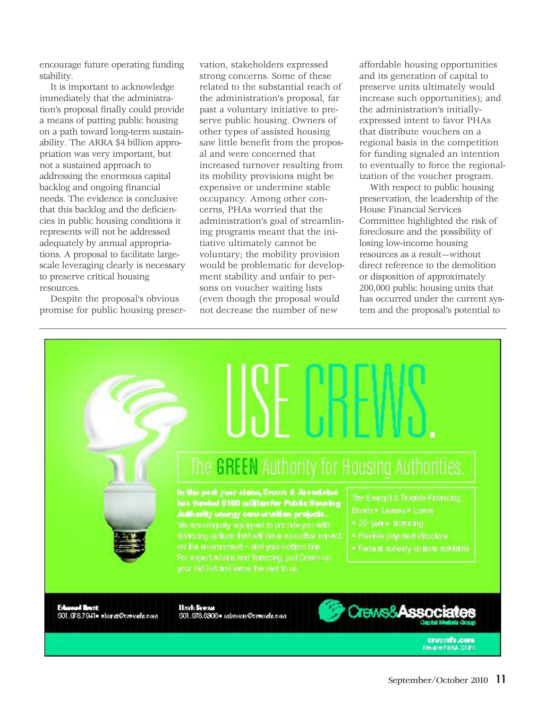encourage future operating funding stability.

It is important to acknowledge immediately that the administration's proposal finally could provide a means of putting public housing on a path toward long-term sustainability. The ARRA \$4 billion appropriation was very important, but not a sustained approach to addressing the enormous capital backlog and ongoing financial needs. The evidence is conclusive that this backlog and the deficiencies in public housing conditions it represents will not be addressed adequately by annual appropriations. A proposal to facilitate largescale leveraging clearly is necessary to preserve critical housing resources.

Despite the proposal's obvious promise for public housing preservation, stakeholders expressed strong concerns. Some of these related to the substantial reach of the administration's proposal, far past a voluntary initiative to preserve public housing. Owners of other types of assisted housing saw little benefit from the proposal and were concerned that increased turnover resulting from its mobility provisions might be expensive or undermine stable occupancy. Among other concerns, PHAs worried that the administration's goal of streamlining programs meant that the initiative ultimately cannot be voluntary; the mobility provision would be problematic for development stability and unfair to persons on voucher waiting lists (even though the proposal would not decrease the number of new

affordable housing opportunities and its generation of capital to preserve units ultimately would increase such opportunities); and the administration's initiallyexpressed intent to favor PHAs that distribute vouchers on a regional basis in the competition for funding signaled an intention to eventually to force the regionalization of the voucher program.

With respect to public housing preservation, the leadership of the House Financial Services Committee highlighted the risk of foreclosure and the possibility of losing low-income housing resources as a result—without direct reference to the demolition or disposition of approximately 200,000 public housing units that has occurred under the current system and the proposal's potential to